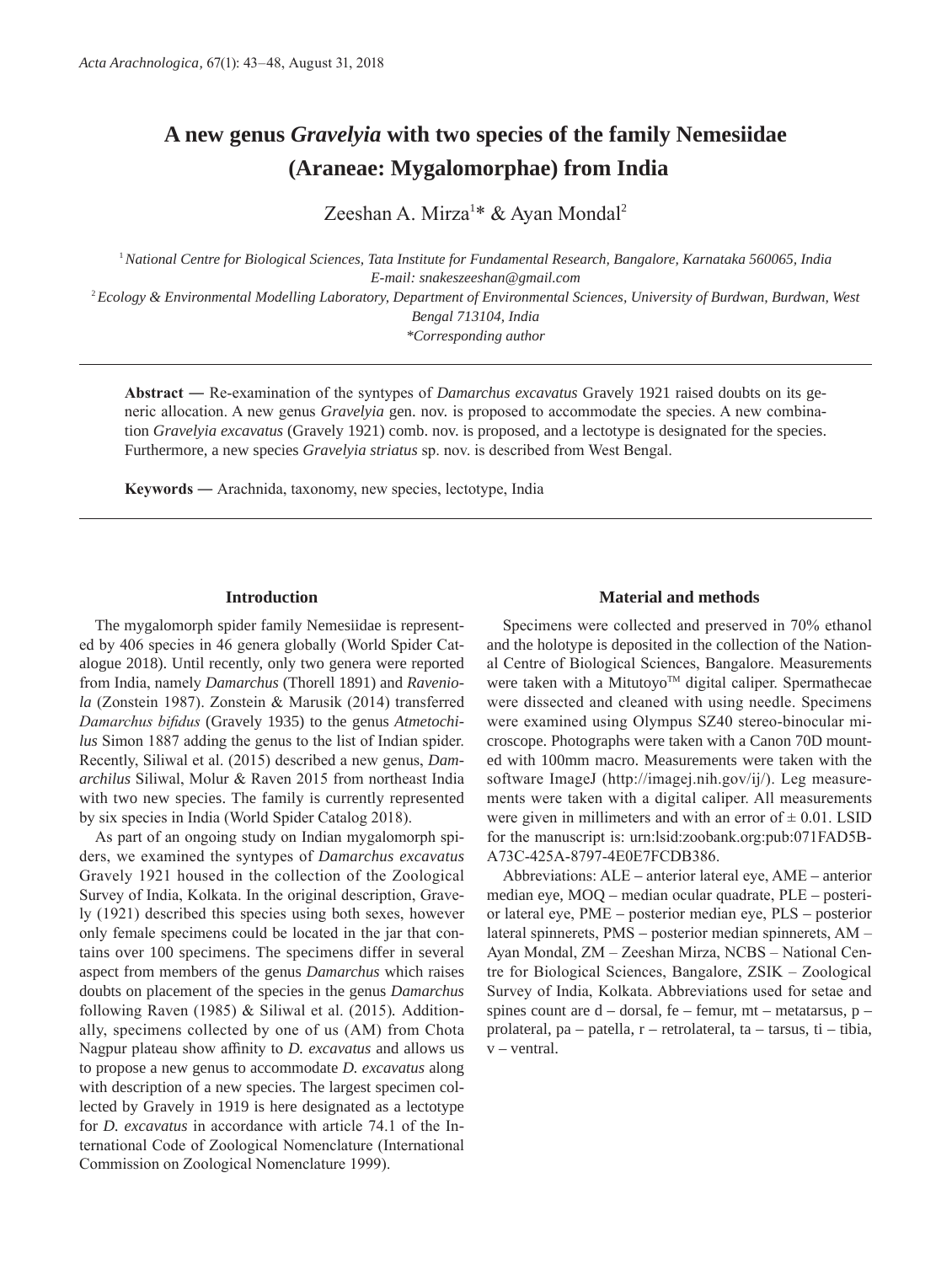# **A new genus** *Gravelyia* **with two species of the family Nemesiidae (Araneae: Mygalomorphae) from India**

Zeeshan A. Mirza<sup>1\*</sup> & Ayan Mondal<sup>2</sup>

<sup>1</sup>*National Centre for Biological Sciences, Tata Institute for Fundamental Research, Bangalore, Karnataka 560065, India E-mail: snakeszeeshan@gmail.com* <sup>2</sup>*Ecology & Environmental Modelling Laboratory, Department of Environmental Sciences, University of Burdwan, Burdwan, West Bengal 713104, India*

*\*Corresponding author*

**Abstract ―** Re-examination of the syntypes of *Damarchus excavatus* Gravely 1921 raised doubts on its generic allocation. A new genus *Gravelyia* gen. nov. is proposed to accommodate the species. A new combination *Gravelyia excavatus* (Gravely 1921) comb. nov. is proposed, and a lectotype is designated for the species. Furthermore, a new species *Gravelyia striatus* sp. nov. is described from West Bengal.

**Keywords ―** Arachnida, taxonomy, new species, lectotype, India

## **Introduction**

The mygalomorph spider family Nemesiidae is represented by 406 species in 46 genera globally (World Spider Catalogue 2018). Until recently, only two genera were reported from India, namely *Damarchus* (Thorell 1891) and *Raveniola* (Zonstein 1987). Zonstein & Marusik (2014) transferred *Damarchus bifidus* (Gravely 1935) to the genus *Atmetochilus* Simon 1887 adding the genus to the list of Indian spider. Recently, Siliwal et al. (2015) described a new genus, *Damarchilus* Siliwal, Molur & Raven 2015 from northeast India with two new species. The family is currently represented by six species in India (World Spider Catalog 2018).

As part of an ongoing study on Indian mygalomorph spiders, we examined the syntypes of *Damarchus excavatus*  Gravely 1921 housed in the collection of the Zoological Survey of India, Kolkata. In the original description, Gravely (1921) described this species using both sexes, however only female specimens could be located in the jar that contains over 100 specimens. The specimens differ in several aspect from members of the genus *Damarchus* which raises doubts on placement of the species in the genus *Damarchus*  following Raven (1985) & Siliwal et al. (2015)*.* Additionally, specimens collected by one of us (AM) from Chota Nagpur plateau show affinity to *D. excavatus* and allows us to propose a new genus to accommodate *D. excavatus* along with description of a new species. The largest specimen collected by Gravely in 1919 is here designated as a lectotype for *D. excavatus* in accordance with article 74.1 of the International Code of Zoological Nomenclature (International Commission on Zoological Nomenclature 1999).

## **Material and methods**

Specimens were collected and preserved in 70% ethanol and the holotype is deposited in the collection of the National Centre of Biological Sciences, Bangalore. Measurements were taken with a Mitutoyo™ digital caliper. Spermathecae were dissected and cleaned with using needle. Specimens were examined using Olympus SZ40 stereo-binocular microscope. Photographs were taken with a Canon 70D mounted with 100mm macro. Measurements were taken with the software ImageJ (http://imagej.nih.gov/ij/). Leg measurements were taken with a digital caliper. All measurements were given in millimeters and with an error of  $\pm$  0.01. LSID for the manuscript is: urn:lsid:zoobank.org:pub:071FAD5B-A73C-425A-8797-4E0E7FCDB386.

Abbreviations: ALE *–* anterior lateral eye, AME *–* anterior median eye, MOQ *–* median ocular quadrate, PLE *–* posterior lateral eye, PME *–* posterior median eye, PLS *–* posterior lateral spinnerets, PMS *–* posterior median spinnerets, AM – Ayan Mondal, ZM – Zeeshan Mirza, NCBS – National Centre for Biological Sciences, Bangalore, ZSIK – Zoological Survey of India, Kolkata. Abbreviations used for setae and spines count are d *–* dorsal, fe *–* femur, mt *–* metatarsus, p *–* prolateral, pa *–* patella, r *–* retrolateral, ta *–* tarsus, ti *–* tibia, v *–* ventral.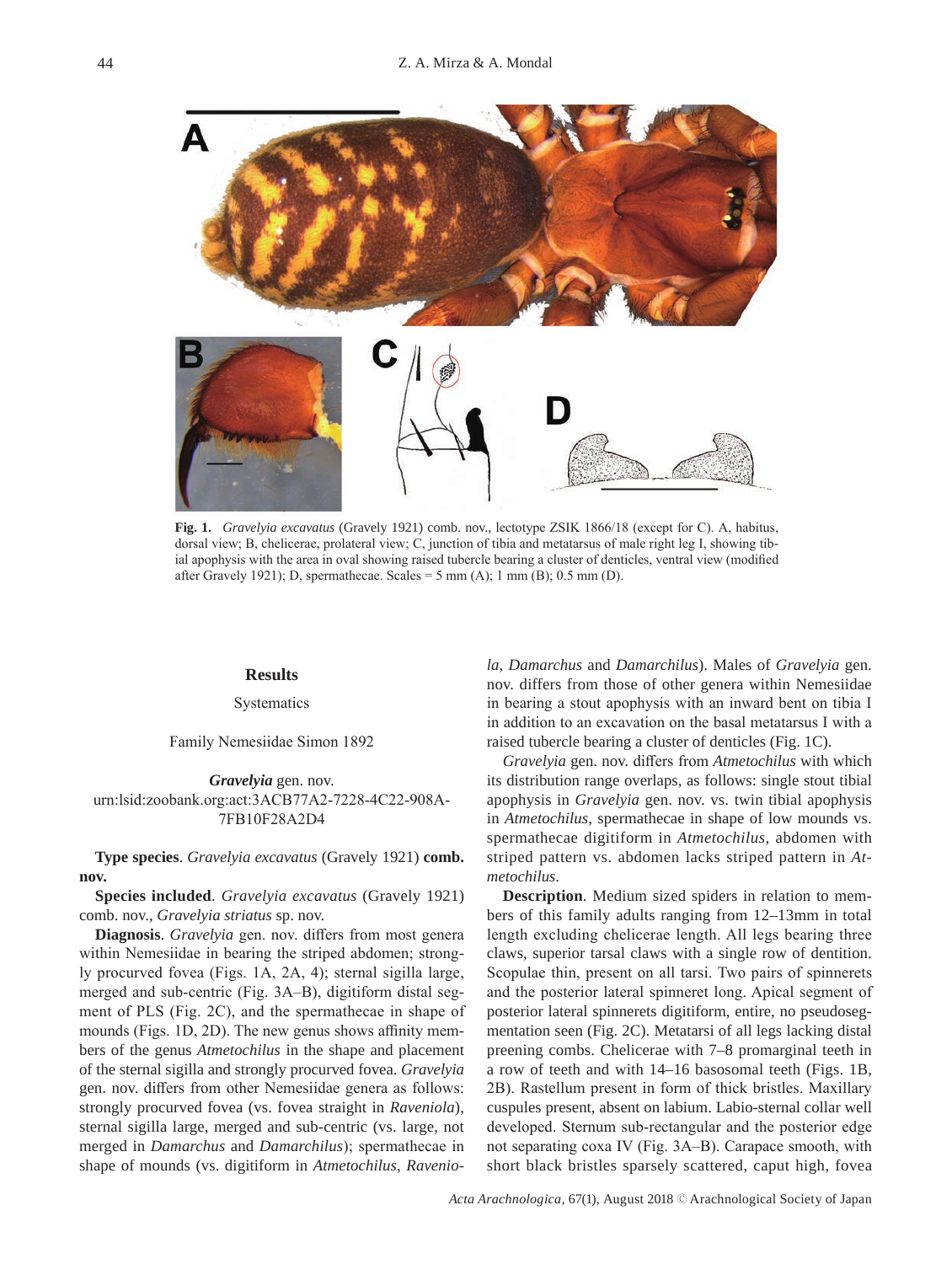

**Fig. 1.** *Gravelyia excavatus* (Gravely 1921) comb. nov., lectotype ZSIK 1866/18 (except for C). A, habitus, dorsal view; B, chelicerae, prolateral view; C, junction of tibia and metatarsus of male right leg I, showing tibial apophysis with the area in oval showing raised tubercle bearing a cluster of denticles, ventral view (modified after Gravely 1921); D, spermathecae. Scales =  $5 \text{ mm (A)}$ ; 1 mm (B); 0.5 mm (D).

## **Results**

**Systematics** 

Family Nemesiidae Simon 1892

*Gravelyia* gen. nov. urn:lsid:zoobank.org:act:3ACB77A2-7228-4C22-908A-7FB10F28A2D4

**Type species**. *Gravelyia excavatus* (Gravely 1921) **comb. nov.**

**Species included**. *Gravelyia excavatus* (Gravely 1921) comb. nov., *Gravelyia striatus* sp. nov.

**Diagnosis**. *Gravelyia* gen. nov. differs from most genera within Nemesiidae in bearing the striped abdomen; strongly procurved fovea (Figs. 1A, 2A, 4); sternal sigilla large, merged and sub-centric (Fig. 3A–B), digitiform distal segment of PLS (Fig. 2C), and the spermathecae in shape of mounds (Figs. 1D, 2D). The new genus shows affinity members of the genus *Atmetochilus* in the shape and placement of the sternal sigilla and strongly procurved fovea. *Gravelyia*  gen. nov. differs from other Nemesiidae genera as follows: strongly procurved fovea (vs. fovea straight in *Raveniola*), sternal sigilla large, merged and sub-centric (vs. large, not merged in *Damarchus* and *Damarchilus*); spermathecae in shape of mounds (vs. digitiform in *Atmetochilus*, *Ravenio-* *la*, *Damarchus* and *Damarchilus*). Males of *Gravelyia* gen. nov. differs from those of other genera within Nemesiidae in bearing a stout apophysis with an inward bent on tibia I in addition to an excavation on the basal metatarsus I with a raised tubercle bearing a cluster of denticles (Fig. 1C).

*Gravelyia* gen. nov. differs from *Atmetochilus* with which its distribution range overlaps, as follows: single stout tibial apophysis in *Gravelyia* gen. nov. vs. twin tibial apophysis in *Atmetochilus*, spermathecae in shape of low mounds vs. spermathecae digitiform in *Atmetochilus*, abdomen with striped pattern vs. abdomen lacks striped pattern in *Atmetochilus*.

**Description**. Medium sized spiders in relation to members of this family adults ranging from 12–13mm in total length excluding chelicerae length. All legs bearing three claws, superior tarsal claws with a single row of dentition. Scopulae thin, present on all tarsi. Two pairs of spinnerets and the posterior lateral spinneret long. Apical segment of posterior lateral spinnerets digitiform, entire, no pseudosegmentation seen (Fig. 2C). Metatarsi of all legs lacking distal preening combs. Chelicerae with 7–8 promarginal teeth in a row of teeth and with 14–16 basosomal teeth (Figs. 1B, 2B). Rastellum present in form of thick bristles. Maxillary cuspules present, absent on labium. Labio-sternal collar well developed. Sternum sub-rectangular and the posterior edge not separating coxa IV (Fig. 3A–B). Carapace smooth, with short black bristles sparsely scattered, caput high, fovea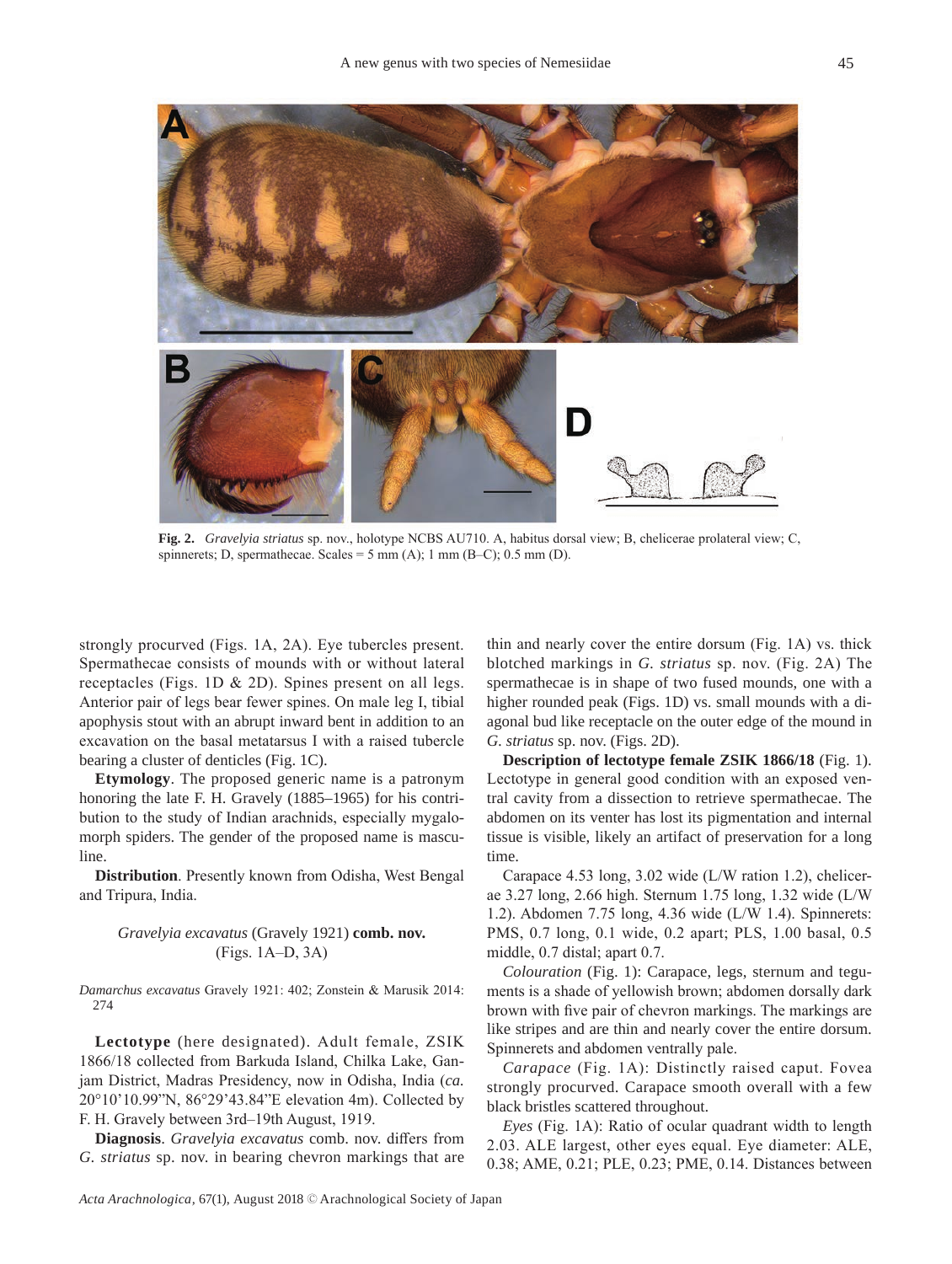

**Fig. 2.** *Gravelyia striatus* sp. nov., holotype NCBS AU710. A, habitus dorsal view; B, chelicerae prolateral view; C, spinnerets; D, spermathecae. Scales =  $5 \text{ mm (A)}$ ; 1 mm (B–C); 0.5 mm (D).

strongly procurved (Figs. 1A, 2A). Eye tubercles present. Spermathecae consists of mounds with or without lateral receptacles (Figs. 1D & 2D). Spines present on all legs. Anterior pair of legs bear fewer spines. On male leg I, tibial apophysis stout with an abrupt inward bent in addition to an excavation on the basal metatarsus I with a raised tubercle bearing a cluster of denticles (Fig. 1C).

**Etymology**. The proposed generic name is a patronym honoring the late F. H. Gravely (1885–1965) for his contribution to the study of Indian arachnids, especially mygalomorph spiders. The gender of the proposed name is masculine.

**Distribution**. Presently known from Odisha, West Bengal and Tripura, India.

## *Gravelyia excavatus* (Gravely 1921) **comb. nov.** (Figs. 1A–D, 3A)

*Damarchus excavatus* Gravely 1921: 402; Zonstein & Marusik 2014: 274

**Lectotype** (here designated). Adult female, ZSIK 1866/18 collected from Barkuda Island, Chilka Lake, Ganjam District, Madras Presidency, now in Odisha, India (*ca.*  20°10'10.99"N, 86°29'43.84"E elevation 4m). Collected by F. H. Gravely between 3rd–19th August, 1919.

**Diagnosis**. *Gravelyia excavatus* comb. nov. differs from *G. striatus* sp. nov. in bearing chevron markings that are

thin and nearly cover the entire dorsum (Fig. 1A) vs. thick blotched markings in *G. striatus* sp. nov. (Fig. 2A) The spermathecae is in shape of two fused mounds, one with a higher rounded peak (Figs. 1D) vs. small mounds with a diagonal bud like receptacle on the outer edge of the mound in *G. striatus* sp. nov. (Figs. 2D).

**Description of lectotype female ZSIK 1866/18** (Fig. 1). Lectotype in general good condition with an exposed ventral cavity from a dissection to retrieve spermathecae. The abdomen on its venter has lost its pigmentation and internal tissue is visible, likely an artifact of preservation for a long time.

Carapace 4.53 long, 3.02 wide (L/W ration 1.2), chelicerae 3.27 long, 2.66 high. Sternum 1.75 long, 1.32 wide (L/W 1.2). Abdomen 7.75 long, 4.36 wide (L/W 1.4). Spinnerets: PMS, 0.7 long, 0.1 wide, 0.2 apart; PLS, 1.00 basal, 0.5 middle, 0.7 distal; apart 0.7.

*Colouration* (Fig. 1): Carapace, legs, sternum and teguments is a shade of yellowish brown; abdomen dorsally dark brown with five pair of chevron markings. The markings are like stripes and are thin and nearly cover the entire dorsum. Spinnerets and abdomen ventrally pale.

*Carapace* (Fig. 1A): Distinctly raised caput. Fovea strongly procurved. Carapace smooth overall with a few black bristles scattered throughout.

*Eyes* (Fig. 1A): Ratio of ocular quadrant width to length 2.03. ALE largest, other eyes equal. Eye diameter: ALE, 0.38; AME, 0.21; PLE, 0.23; PME, 0.14. Distances between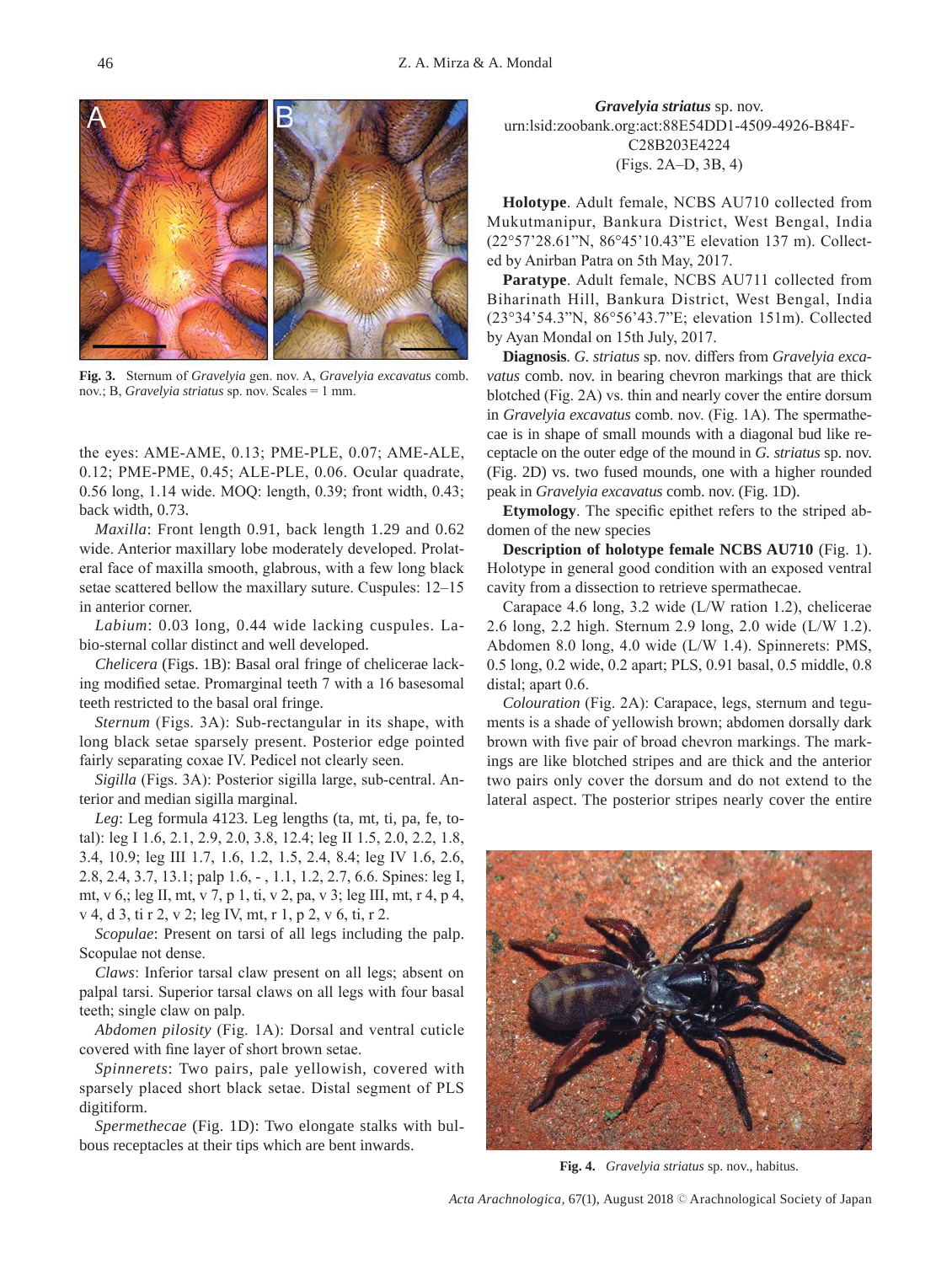

**Fig. 3.** Sternum of *Gravelyia* gen. nov. A, *Gravelyia excavatus* comb. nov.; B, *Gravelyia striatus* sp. nov. Scales = 1 mm.

the eyes: AME-AME, 0.13; PME-PLE, 0.07; AME-ALE, 0.12; PME-PME, 0.45; ALE-PLE, 0.06. Ocular quadrate, 0.56 long, 1.14 wide. MOQ: length, 0.39; front width, 0.43; back width, 0.73.

*Maxilla*: Front length 0.91, back length 1.29 and 0.62 wide. Anterior maxillary lobe moderately developed. Prolateral face of maxilla smooth, glabrous, with a few long black setae scattered bellow the maxillary suture. Cuspules: 12–15 in anterior corner.

*Labium*: 0.03 long, 0.44 wide lacking cuspules. Labio-sternal collar distinct and well developed.

*Chelicera* (Figs. 1B): Basal oral fringe of chelicerae lacking modified setae. Promarginal teeth 7 with a 16 basesomal teeth restricted to the basal oral fringe.

*Sternum* (Figs. 3A): Sub-rectangular in its shape, with long black setae sparsely present. Posterior edge pointed fairly separating coxae IV. Pedicel not clearly seen.

*Sigilla* (Figs. 3A): Posterior sigilla large, sub-central. Anterior and median sigilla marginal.

*Leg*: Leg formula 4123. Leg lengths (ta, mt, ti, pa, fe, total): leg I 1.6, 2.1, 2.9, 2.0, 3.8, 12.4; leg II 1.5, 2.0, 2.2, 1.8, 3.4, 10.9; leg III 1.7, 1.6, 1.2, 1.5, 2.4, 8.4; leg IV 1.6, 2.6, 2.8, 2.4, 3.7, 13.1; palp 1.6, - , 1.1, 1.2, 2.7, 6.6. Spines: leg I, mt, v 6,; leg II, mt, v 7, p 1, ti, v 2, pa, v 3; leg III, mt, r 4, p 4, v 4, d 3, ti r 2, v 2; leg IV, mt, r 1, p 2, v 6, ti, r 2.

*Scopulae*: Present on tarsi of all legs including the palp. Scopulae not dense.

*Claws*: Inferior tarsal claw present on all legs; absent on palpal tarsi. Superior tarsal claws on all legs with four basal teeth; single claw on palp.

*Abdomen pilosity* (Fig. 1A): Dorsal and ventral cuticle covered with fine layer of short brown setae.

*Spinnerets*: Two pairs, pale yellowish, covered with sparsely placed short black setae. Distal segment of PLS digitiform.

*Spermethecae* (Fig. 1D): Two elongate stalks with bulbous receptacles at their tips which are bent inwards.

*Gravelyia striatus* sp. nov. urn:lsid:zoobank.org:act:88E54DD1-4509-4926-B84F-C28B203E4224 (Figs. 2A–D, 3B, 4)

**Holotype**. Adult female, NCBS AU710 collected from Mukutmanipur, Bankura District, West Bengal, India (22°57'28.61"N, 86°45'10.43"E elevation 137 m). Collected by Anirban Patra on 5th May, 2017.

**Paratype**. Adult female, NCBS AU711 collected from Biharinath Hill, Bankura District, West Bengal, India (23°34'54.3"N, 86°56'43.7"E; elevation 151m). Collected by Ayan Mondal on 15th July, 2017.

**Diagnosis**. *G. striatus* sp. nov. differs from *Gravelyia excavatus* comb. nov. in bearing chevron markings that are thick blotched (Fig. 2A) vs. thin and nearly cover the entire dorsum in *Gravelyia excavatus* comb. nov. (Fig. 1A). The spermathecae is in shape of small mounds with a diagonal bud like receptacle on the outer edge of the mound in *G. striatus* sp. nov. (Fig. 2D) vs. two fused mounds, one with a higher rounded peak in *Gravelyia excavatus* comb. nov. (Fig. 1D).

**Etymology**. The specific epithet refers to the striped abdomen of the new species

**Description of holotype female NCBS AU710** (Fig. 1). Holotype in general good condition with an exposed ventral cavity from a dissection to retrieve spermathecae.

Carapace 4.6 long, 3.2 wide (L/W ration 1.2), chelicerae 2.6 long, 2.2 high. Sternum 2.9 long, 2.0 wide (L/W 1.2). Abdomen 8.0 long, 4.0 wide (L/W 1.4). Spinnerets: PMS, 0.5 long, 0.2 wide, 0.2 apart; PLS, 0.91 basal, 0.5 middle, 0.8 distal; apart 0.6.

*Colouration* (Fig. 2A): Carapace, legs, sternum and teguments is a shade of yellowish brown; abdomen dorsally dark brown with five pair of broad chevron markings. The markings are like blotched stripes and are thick and the anterior two pairs only cover the dorsum and do not extend to the lateral aspect. The posterior stripes nearly cover the entire



**Fig. 4.** *Gravelyia striatus* sp. nov., habitus.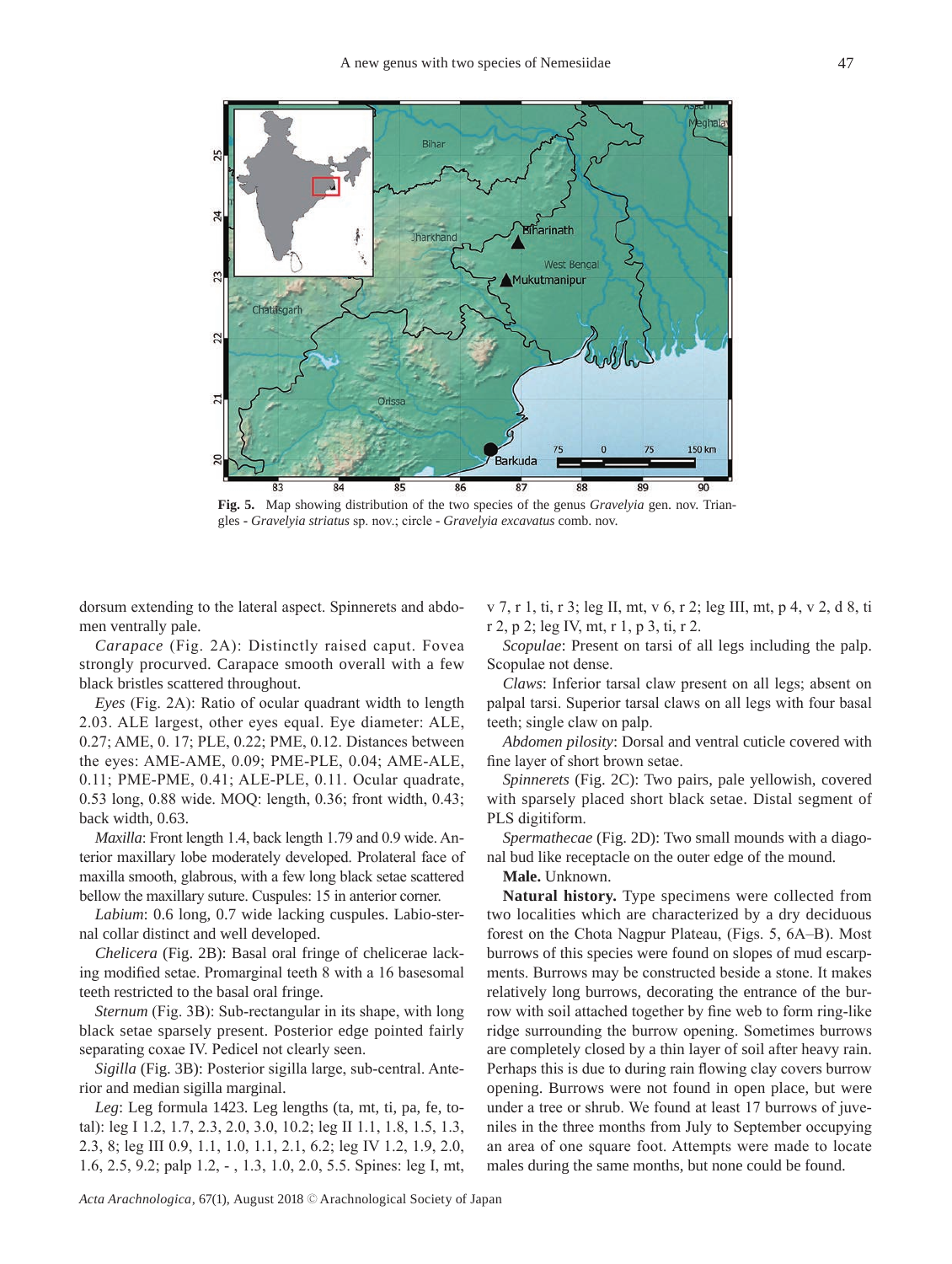

**Fig. 5.** Map showing distribution of the two species of the genus *Gravelyia* gen. nov. Triangles **-** *Gravelyia striatus* sp. nov.; circle **-** *Gravelyia excavatus* comb. nov.

dorsum extending to the lateral aspect. Spinnerets and abdomen ventrally pale.

*Carapace* (Fig. 2A): Distinctly raised caput. Fovea strongly procurved. Carapace smooth overall with a few black bristles scattered throughout.

*Eyes* (Fig. 2A): Ratio of ocular quadrant width to length 2.03. ALE largest, other eyes equal. Eye diameter: ALE, 0.27; AME, 0. 17; PLE, 0.22; PME, 0.12. Distances between the eyes: AME-AME, 0.09; PME-PLE, 0.04; AME-ALE, 0.11; PME-PME, 0.41; ALE-PLE, 0.11. Ocular quadrate, 0.53 long, 0.88 wide. MOQ: length, 0.36; front width, 0.43; back width, 0.63.

*Maxilla*: Front length 1.4, back length 1.79 and 0.9 wide. Anterior maxillary lobe moderately developed. Prolateral face of maxilla smooth, glabrous, with a few long black setae scattered bellow the maxillary suture. Cuspules: 15 in anterior corner.

*Labium*: 0.6 long, 0.7 wide lacking cuspules. Labio-sternal collar distinct and well developed.

*Chelicera* (Fig. 2B): Basal oral fringe of chelicerae lacking modified setae. Promarginal teeth 8 with a 16 basesomal teeth restricted to the basal oral fringe.

*Sternum* (Fig. 3B): Sub-rectangular in its shape, with long black setae sparsely present. Posterior edge pointed fairly separating coxae IV. Pedicel not clearly seen.

*Sigilla* (Fig. 3B): Posterior sigilla large, sub-central. Anterior and median sigilla marginal.

*Leg*: Leg formula 1423. Leg lengths (ta, mt, ti, pa, fe, total): leg I 1.2, 1.7, 2.3, 2.0, 3.0, 10.2; leg II 1.1, 1.8, 1.5, 1.3, 2.3, 8; leg III 0.9, 1.1, 1.0, 1.1, 2.1, 6.2; leg IV 1.2, 1.9, 2.0, 1.6, 2.5, 9.2; palp 1.2, - , 1.3, 1.0, 2.0, 5.5. Spines: leg I, mt, v 7, r 1, ti, r 3; leg II, mt, v 6, r 2; leg III, mt, p 4, v 2, d 8, ti r 2, p 2; leg IV, mt, r 1, p 3, ti, r 2.

*Scopulae*: Present on tarsi of all legs including the palp. Scopulae not dense.

*Claws*: Inferior tarsal claw present on all legs; absent on palpal tarsi. Superior tarsal claws on all legs with four basal teeth; single claw on palp.

*Abdomen pilosity*: Dorsal and ventral cuticle covered with fine layer of short brown setae.

*Spinnerets* (Fig. 2C): Two pairs, pale yellowish, covered with sparsely placed short black setae. Distal segment of PLS digitiform.

*Spermathecae* (Fig. 2D): Two small mounds with a diagonal bud like receptacle on the outer edge of the mound.

**Male.** Unknown.

**Natural history.** Type specimens were collected from two localities which are characterized by a dry deciduous forest on the Chota Nagpur Plateau, (Figs. 5, 6A–B). Most burrows of this species were found on slopes of mud escarpments. Burrows may be constructed beside a stone. It makes relatively long burrows, decorating the entrance of the burrow with soil attached together by fine web to form ring-like ridge surrounding the burrow opening. Sometimes burrows are completely closed by a thin layer of soil after heavy rain. Perhaps this is due to during rain flowing clay covers burrow opening. Burrows were not found in open place, but were under a tree or shrub. We found at least 17 burrows of juveniles in the three months from July to September occupying an area of one square foot. Attempts were made to locate males during the same months, but none could be found.